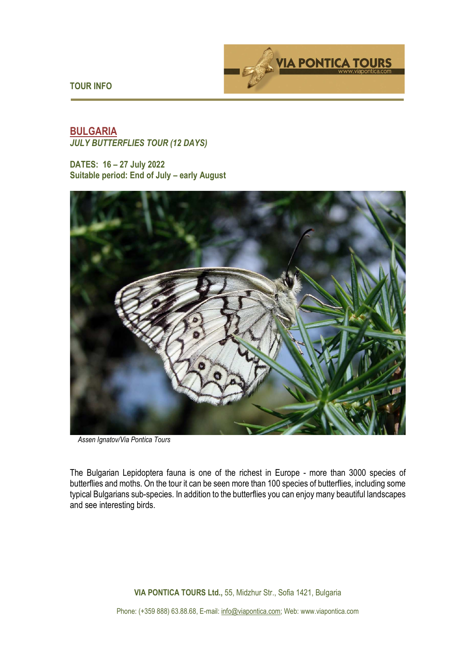



# **BULGARIA**  *JULY BUTTERFLIES TOUR (12 DAYS)*

**DATES: 16 – 27 July 2022 Suitable period: End of July – early August** 



 *Assen Ignatov/Via Pontica Tours*

The Bulgarian Lepidoptera fauna is one of the richest in Europe - more than 3000 species of butterflies and moths. On the tour it can be seen more than 100 species of butterflies, including some typical Bulgarians sub-species. In addition to the butterflies you can enjoy many beautiful landscapes and see interesting birds.

**VIA PONTICA TOURS Ltd.,** 55, Midzhur Str., Sofia 1421, Bulgaria

Phone: (+359 888) 63.88.68, E-mail: info@viapontica.com; Web: www.viapontica.com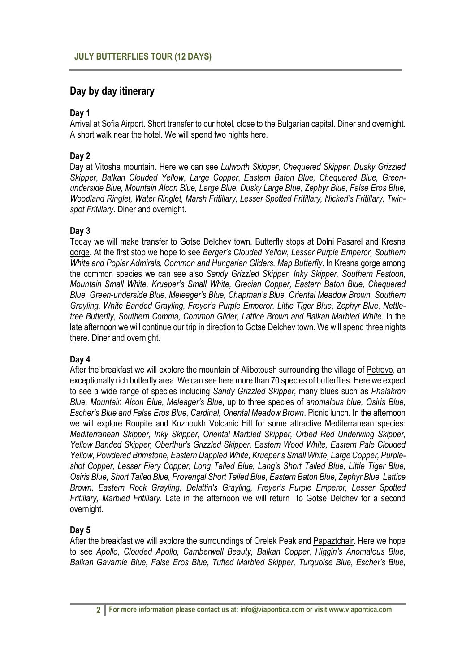# **Day by day itinerary**

## **Day 1**

Arrival at Sofia Airport. Short transfer to our hotel, close to the Bulgarian capital. Diner and overnight. A short walk near the hotel. We will spend two nights here.

# **Day 2**

Day at Vitosha mountain. Here we can see *Lulworth Skipper*, *Chequered Skipper*, *Dusky Grizzled Skipper*, *Balkan Clouded Yellow*, *Large Copper*, *Eastern Baton Blue, Chequered Blue, Greenunderside Blue, Mountain Alcon Blue, Large Blue, Dusky Large Blue, Zephyr Blue, False Eros Blue, Woodland Ringlet, Water Ringlet, Marsh Fritillary, Lesser Spotted Fritillary, Nickerl's Fritillary, Twinspot Fritillary*. Diner and overnight.

## **Day 3**

Today we will make transfer to Gotse Delchev town. Butterfly stops at Dolni Pasarel and Kresna gorge. At the first stop we hope to see *Berger's Clouded Yellow, Lesser Purple Emperor, Southern White and Poplar Admirals, Common and Hungarian Gliders, Map Butterfly*. In Kresna gorge among the common species we can see also *Sandy Grizzled Skipper, Inky Skipper, Southern Festoon, Mountain Small White, Krueper's Small White, Grecian Copper, Eastern Baton Blue, Chequered Blue, Green-underside Blue, Meleager's Blue, Chapman's Blue, Oriental Meadow Brown, Southern Grayling, White Banded Grayling, Freyer's Purple Emperor, Little Tiger Blue, Zephyr Blue, Nettletree Butterfly, Southern Comma, Common Glider, Lattice Brown and Balkan Marbled White*. In the late afternoon we will continue our trip in direction to Gotse Delchev town. We will spend three nights there. Diner and overnight.

## **Day 4**

After the breakfast we will explore the mountain of Alibotoush surrounding the village of Petrovo, an exceptionally rich butterfly area. We can see here more than 70 species of butterflies. Here we expect to see a wide range of species including *Sandy Grizzled Skipper,* many blues such as *Phalakron Blue, Mountain Alcon Blue, Meleager's Blue*, up to three species of *anomalous blue, Osiris Blue, Escher's Blue and False Eros Blue, Cardinal, Oriental Meadow Brown*. Picnic lunch. In the afternoon we will explore Roupite and Kozhoukh Volcanic Hill for some attractive Mediterranean species: *Mediterranean Skipper, Inky Skipper, Oriental Marbled Skipper, Orbed Red Underwing Skipper, Yellow Banded Skipper, Oberthur's Grizzled Skipper, Eastern Wood White, Eastern Pale Clouded Yellow, Powdered Brimstone, Eastern Dappled White, Krueper's Small White, Large Copper, Purpleshot Copper, Lesser Fiery Copper, Long Tailed Blue, Lang's Short Tailed Blue, Little Tiger Blue, Osiris Blue, Short Tailed Blue, Provençal Short Tailed Blue, Eastern Baton Blue, Zephyr Blue, Lattice Brown, Eastern Rock Grayling, Delattin's Grayling, Freyer's Purple Emperor, Lesser Spotted Fritillary, Marbled Fritillary*. Late in the afternoon we will return to Gotse Delchev for a second overnight.

## **Day 5**

After the breakfast we will explore the surroundings of Orelek Peak and Papaztchair. Here we hope to see *Apollo, Clouded Apollo, Camberwell Beauty, Balkan Copper, Higgin's Anomalous Blue, Balkan Gavarnie Blue, False Eros Blue, Tufted Marbled Skipper, Turquoise Blue, Escher's Blue,*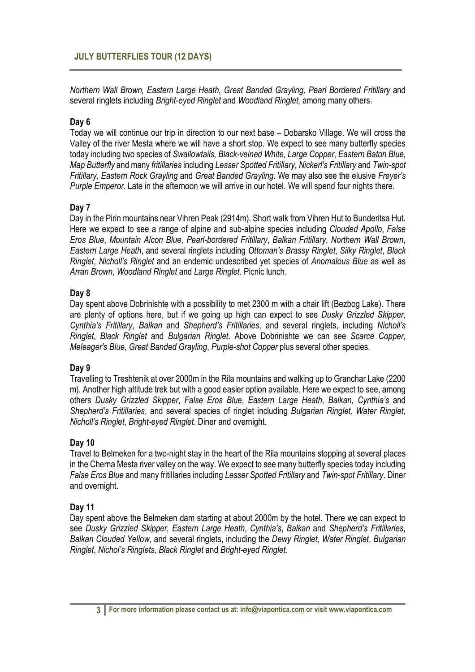*Northern Wall Brown, Eastern Large Heath, Great Banded Grayling, Pearl Bordered Fritillary* and several ringlets including *Bright-eyed Ringlet* and *Woodland Ringlet,* among many others.

## **Day 6**

Today we will continue our trip in direction to our next base – Dobarsko Village. We will cross the Valley of the river Mesta where we will have a short stop. We expect to see many butterfly species today including two species of *Swallowtails, Black-veined White*, *Large Copper*, *Eastern Baton Blue*, *Map Butterfly* and many *fritillaries* including *Lesser Spotted Fritillary, Nickerl's Fritillary* and *Twin-spot Fritillary, Eastern Rock Grayling* and *Great Banded Grayling*. We may also see the elusive *Freyer's Purple Emperor*. Late in the afternoon we will arrive in our hotel. We will spend four nights there.

#### **Day 7**

Day in the Pirin mountains near Vihren Peak (2914m). Short walk from Vihren Hut to Bunderitsa Hut. Here we expect to see a range of alpine and sub-alpine species including *Clouded Apollo*, *False Eros Blue*, *Mountain Alcon Blue*, *Pearl-bordered Fritillary*, *Balkan Fritillary*, *Northern Wall Brown*, *Eastern Large Heath*, and several ringlets including *Ottoman's Brassy Ringlet*, *Silky Ringlet*, *Black Ringlet*, *Nicholl's Ringlet* and an endemic undescribed yet species of *Anomalous Blue* as well as *Arran Brown*, *Woodland Ringlet* and *Large Ringlet*. Picnic lunch.

#### **Day 8**

Day spent above Dobrinishte with a possibility to met 2300 m with a chair lift (Bezbog Lake). There are plenty of options here, but if we going up high can expect to see *Dusky Grizzled Skipper*, *Cynthia's Fritillary*, *Balkan* and *Shepherd's Fritillaries*, and several ringlets, including *Nicholl's Ringlet*, *Black Ringlet* and *Bulgarian Ringlet*. Above Dobrinishte we can see *Scarce Copper*, *Meleager's Blue*, *Great Banded Grayling*, *Purple-shot Copper* plus several other species*.* 

#### **Day 9**

Travelling to Treshtenik at over 2000m in the Rila mountains and walking up to Granchar Lake (2200 m). Another high altitude trek but with a good easier option available. Here we expect to see, among others *Dusky Grizzled Skipper*, *False Eros Blue*, *Eastern Large Heath*, *Balkan, Cynthia's* and *Shepherd's Fritillaries*, and several species of ringlet including *Bulgarian Ringlet, Water Ringlet*, *Nicholl's Ringlet*, *Bright-eyed Ringlet*. Diner and overnight.

## **Day 10**

Travel to Belmeken for a two-night stay in the heart of the Rila mountains stopping at several places in the Cherna Mesta river valley on the way. We expect to see many butterfly species today including *False Eros Blue* and many fritillaries including *Lesser Spotted Fritillary* and *Twin-spot Fritillary*. Diner and overnight.

#### **Day 11**

Day spent above the Belmeken dam starting at about 2000m by the hotel. There we can expect to see *Dusky Grizzled Skipper*, *Eastern Large Heath*, *Cynthia's*, *Balkan* and *Shepherd's Fritillaries*, *Balkan Clouded Yellow*, and several ringlets, including the *Dewy Ringlet*, *Water Ringlet*, *Bulgarian Ringlet*, *Nichol's Ringlets*, *Black Ringlet* and *Bright-eyed Ringlet.*